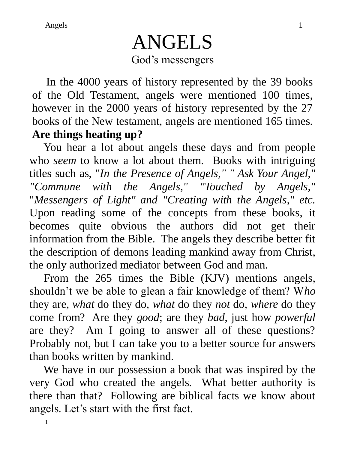# ANGELS God's messengers

 In the 4000 years of history represented by the 39 books of the Old Testament, angels were mentioned 100 times, however in the 2000 years of history represented by the 27 books of the New testament, angels are mentioned 165 times. **Are things heating up?**

 You hear a lot about angels these days and from people who *seem* to know a lot about them. Books with intriguing titles such as, "*In the Presence of Angels," " Ask Your Angel," "Commune with the Angels," "Touched by Angels,"* "*Messengers of Light" and "Creating with the Angels," etc.*  Upon reading some of the concepts from these books, it becomes quite obvious the authors did not get their information from the Bible. The angels they describe better fit the description of demons leading mankind away from Christ, the only authorized mediator between God and man.

 From the 265 times the Bible (KJV) mentions angels, shouldn't we be able to glean a fair knowledge of them? W*ho*  they are, *what* do they do, *what* do they *not* do, *where* do they come from? Are they *good*; are they *bad*, just how *powerful* are they? Am I going to answer all of these questions? Probably not, but I can take you to a better source for answers than books written by mankind.

 We have in our possession a book that was inspired by the very God who created the angels. What better authority is there than that? Following are biblical facts we know about angels. Let's start with the first fact.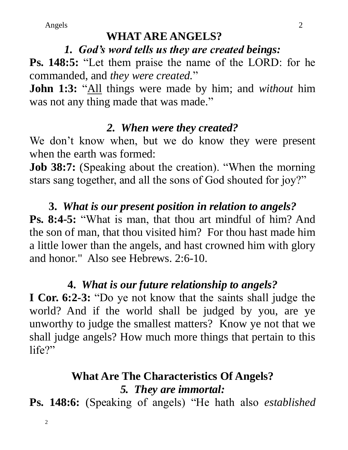#### **WHAT ARE ANGELS?**

#### *1. God's word tells us they are created beings:*

**Ps. 148:5:** "Let them praise the name of the LORD: for he commanded, and *they were created.*"

**John 1:3:** "All things were made by him; and *without* him was not any thing made that was made."

#### *2. When were they created?*

We don't know when, but we do know they were present when the earth was formed:

**Job 38:7:** (Speaking about the creation). "When the morning stars sang together, and all the sons of God shouted for joy?"

**3.** *What is our present position in relation to angels?* **Ps. 8:4-5:** "What is man, that thou art mindful of him? And the son of man, that thou visited him? For thou hast made him a little lower than the angels, and hast crowned him with glory and honor." Also see Hebrews. 2:6-10.

# **4.** *What is our future relationship to angels?*

**I Cor. 6:2-3:** "Do ye not know that the saints shall judge the world? And if the world shall be judged by you, are ye unworthy to judge the smallest matters? Know ye not that we shall judge angels? How much more things that pertain to this life?"

# **What Are The Characteristics Of Angels?** *5. They are immortal:*

**Ps. 148:6:** (Speaking of angels) "He hath also *established*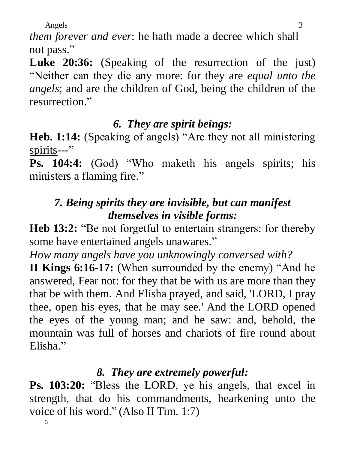*them forever and ever*: he hath made a decree which shall not pass."

Luke 20:36: (Speaking of the resurrection of the just) "Neither can they die any more: for they are *equal unto the angels*; and are the children of God, being the children of the resurrection."

## *6. They are spirit beings:*

**Heb. 1:14:** (Speaking of angels) "Are they not all ministering spirits---"

**Ps. 104:4:** (God) "Who maketh his angels spirits; his ministers a flaming fire."

# *7. Being spirits they are invisible, but can manifest themselves in visible forms:*

**Heb 13:2:** "Be not forgetful to entertain strangers: for thereby some have entertained angels unawares."

*How many angels have you unknowingly conversed with?*

**II Kings 6:16-17:** (When surrounded by the enemy) "And he answered, Fear not: for they that be with us are more than they that be with them**.** And Elisha prayed, and said, 'LORD, I pray thee, open his eyes, that he may see.' And the LORD opened the eyes of the young man; and he saw: and, behold, the mountain was full of horses and chariots of fire round about Elisha."

# *8. They are extremely powerful:*

**Ps. 103:20:** "Bless the LORD, ye his angels, that excel in strength, that do his commandments, hearkening unto the voice of his word." (Also II Tim. 1:7)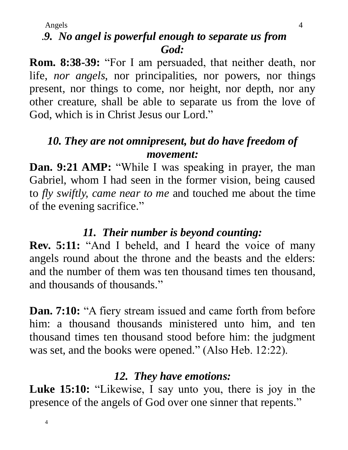## .*9. No angel is powerful enough to separate us from God:*

**Rom. 8:38-39:** "For I am persuaded, that neither death, nor life, *nor angels*, nor principalities, nor powers, nor things present, nor things to come, nor height, nor depth, nor any other creature, shall be able to separate us from the love of God, which is in Christ Jesus our Lord."

## *10. They are not omnipresent, but do have freedom of movement:*

**Dan. 9:21 AMP:** "While I was speaking in prayer, the man Gabriel, whom I had seen in the former vision, being caused to *fly swiftly, came near to me* and touched me about the time of the evening sacrifice."

#### *11. Their number is beyond counting:*

**Rev. 5:11:** "And I beheld, and I heard the voice of many angels round about the throne and the beasts and the elders: and the number of them was ten thousand times ten thousand, and thousands of thousands."

**Dan. 7:10:** "A fiery stream issued and came forth from before him: a thousand thousands ministered unto him, and ten thousand times ten thousand stood before him: the judgment was set, and the books were opened." (Also Heb. 12:22).

#### *12. They have emotions:*

**Luke 15:10:** "Likewise, I say unto you, there is joy in the presence of the angels of God over one sinner that repents."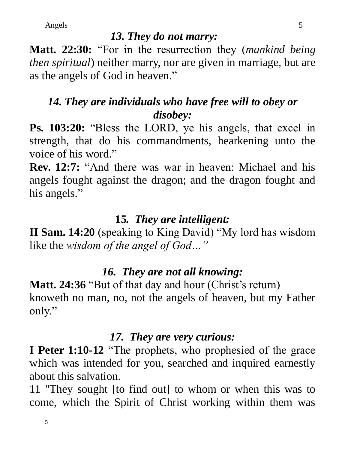#### *13. They do not marry:*

**Matt. 22:30:** "For in the resurrection they (*mankind being then spiritual*) neither marry, nor are given in marriage, but are as the angels of God in heaven."

# *14. They are individuals who have free will to obey or disobey:*

**Ps. 103:20:** "Bless the LORD, ye his angels, that excel in strength, that do his commandments, hearkening unto the voice of his word."

**Rev. 12:7:** "And there was war in heaven: Michael and his angels fought against the dragon; and the dragon fought and his angels."

# **15***. They are intelligent:*

**II Sam. 14:20** (speaking to King David) "My lord has wisdom like the *wisdom of the angel of God…"* 

# *16. They are not all knowing:*

Matt. 24:36 "But of that day and hour (Christ's return) knoweth no man, no, not the angels of heaven, but my Father only."

## *17. They are very curious:*

**I Peter 1:10-12** "The prophets, who prophesied of the grace which was intended for you, searched and inquired earnestly about this salvation.

11 "They sought [to find out] to whom or when this was to come, which the Spirit of Christ working within them was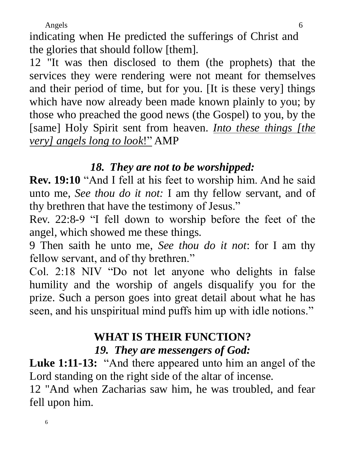6

indicating when He predicted the sufferings of Christ and the glories that should follow [them].

12 "It was then disclosed to them (the prophets) that the services they were rendering were not meant for themselves and their period of time, but for you. [It is these very] things which have now already been made known plainly to you; by those who preached the good news (the Gospel) to you, by the [same] Holy Spirit sent from heaven. *Into these things [the very] angels long to look*!" AMP

#### *18. They are not to be worshipped:*

**Rev. 19:10** "And I fell at his feet to worship him. And he said unto me, *See thou do it not:* I am thy fellow servant, and of thy brethren that have the testimony of Jesus."

Rev. 22:8-9 "I fell down to worship before the feet of the angel, which showed me these things.

9 Then saith he unto me, *See thou do it not*: for I am thy fellow servant, and of thy brethren."

Col. 2:18 NIV "Do not let anyone who delights in false humility and the worship of angels disqualify you for the prize. Such a person goes into great detail about what he has seen, and his unspiritual mind puffs him up with idle notions."

#### **WHAT IS THEIR FUNCTION?** *19. They are messengers of God:*

**Luke 1:11-13:** "And there appeared unto him an angel of the Lord standing on the right side of the altar of incense.

12 "And when Zacharias saw him, he was troubled, and fear fell upon him.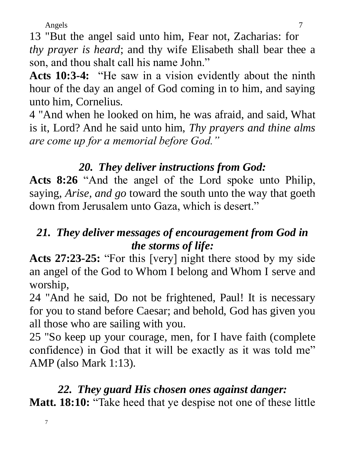7

13 "But the angel said unto him, Fear not, Zacharias: for *thy prayer is heard*; and thy wife Elisabeth shall bear thee a son, and thou shalt call his name John."

**Acts 10:3-4:** "He saw in a vision evidently about the ninth hour of the day an angel of God coming in to him, and saying unto him, Cornelius.

4 "And when he looked on him, he was afraid, and said, What is it, Lord? And he said unto him, *Thy prayers and thine alms are come up for a memorial before God."*

## *20. They deliver instructions from God:*

**Acts 8:26** "And the angel of the Lord spoke unto Philip, saying, *Arise, and go* toward the south unto the way that goeth down from Jerusalem unto Gaza, which is desert."

## *21. They deliver messages of encouragement from God in the storms of life:*

**Acts 27:23-25:** "For this [very] night there stood by my side an angel of the God to Whom I belong and Whom I serve and worship,

24 "And he said, Do not be frightened, Paul! It is necessary for you to stand before Caesar; and behold, God has given you all those who are sailing with you.

25 "So keep up your courage, men, for I have faith (complete confidence) in God that it will be exactly as it was told me" AMP (also Mark 1:13).

## *22. They guard His chosen ones against danger:*

**Matt. 18:10:** "Take heed that ye despise not one of these little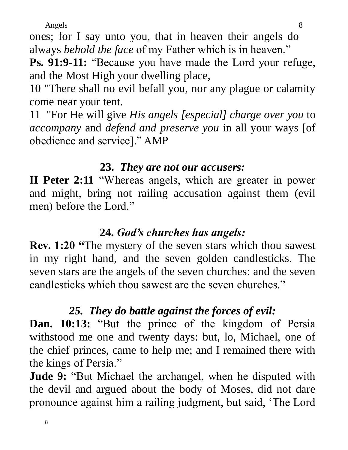ones; for I say unto you, that in heaven their angels do always *behold the face* of my Father which is in heaven."

**Ps. 91:9-11:** "Because you have made the Lord your refuge, and the Most High your dwelling place,

10 "There shall no evil befall you, nor any plague or calamity come near your tent.

11 "For He will give *His angels [especial] charge over you* to *accompany* and *defend and preserve you* in all your ways [of obedience and service]." AMP

#### **23.** *They are not our accusers:*

**II Peter 2:11** "Whereas angels, which are greater in power and might, bring not railing accusation against them (evil men) before the Lord."

#### **24.** *God's churches has angels:*

**Rev. 1:20 "**The mystery of the seven stars which thou sawest in my right hand, and the seven golden candlesticks. The seven stars are the angels of the seven churches: and the seven candlesticks which thou sawest are the seven churches."

# *25. They do battle against the forces of evil:*

**Dan. 10:13:** "But the prince of the kingdom of Persia withstood me one and twenty days: but, lo, Michael, one of the chief princes, came to help me; and I remained there with the kings of Persia."

**Jude 9:** "But Michael the archangel, when he disputed with the devil and argued about the body of Moses, did not dare pronounce against him a railing judgment, but said, 'The Lord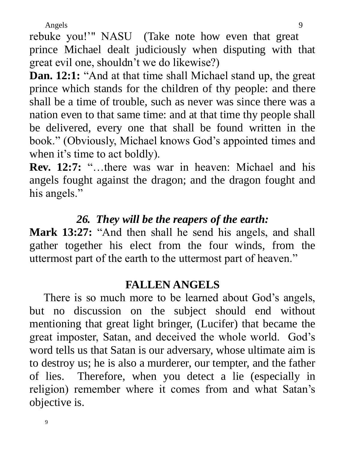rebuke you!'" NASU (Take note how even that great prince Michael dealt judiciously when disputing with that great evil one, shouldn't we do likewise?)

**Dan. 12:1:** "And at that time shall Michael stand up, the great prince which stands for the children of thy people: and there shall be a time of trouble, such as never was since there was a nation even to that same time: and at that time thy people shall be delivered, every one that shall be found written in the book." (Obviously, Michael knows God's appointed times and when it's time to act boldly).

**Rev. 12:7:** "…there was war in heaven: Michael and his angels fought against the dragon; and the dragon fought and his angels."

#### *26. They will be the reapers of the earth:*

Mark 13:27: "And then shall he send his angels, and shall gather together his elect from the four winds, from the uttermost part of the earth to the uttermost part of heaven."

#### **FALLEN ANGELS**

 There is so much more to be learned about God's angels, but no discussion on the subject should end without mentioning that great light bringer, (Lucifer) that became the great imposter, Satan, and deceived the whole world. God's word tells us that Satan is our adversary, whose ultimate aim is to destroy us; he is also a murderer, our tempter, and the father of lies. Therefore, when you detect a lie (especially in religion) remember where it comes from and what Satan's objective is.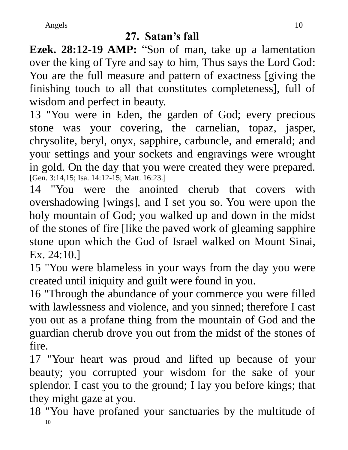## **27. Satan's fall**

**Ezek. 28:12-19 AMP:** "Son of man, take up a lamentation over the king of Tyre and say to him, Thus says the Lord God: You are the full measure and pattern of exactness [giving the finishing touch to all that constitutes completeness], full of wisdom and perfect in beauty.

13 "You were in Eden, the garden of God; every precious stone was your covering, the carnelian, topaz, jasper, chrysolite, beryl, onyx, sapphire, carbuncle, and emerald; and your settings and your sockets and engravings were wrought in gold. On the day that you were created they were prepared. [Gen. 3:14,15; Isa. 14:12-15; Matt. 16:23.]

14 "You were the anointed cherub that covers with overshadowing [wings], and I set you so. You were upon the holy mountain of God; you walked up and down in the midst of the stones of fire [like the paved work of gleaming sapphire stone upon which the God of Israel walked on Mount Sinai, Ex. 24:10.]

15 "You were blameless in your ways from the day you were created until iniquity and guilt were found in you.

16 "Through the abundance of your commerce you were filled with lawlessness and violence, and you sinned; therefore I cast you out as a profane thing from the mountain of God and the guardian cherub drove you out from the midst of the stones of fire.

17 "Your heart was proud and lifted up because of your beauty; you corrupted your wisdom for the sake of your splendor. I cast you to the ground; I lay you before kings; that they might gaze at you.

10 18 "You have profaned your sanctuaries by the multitude of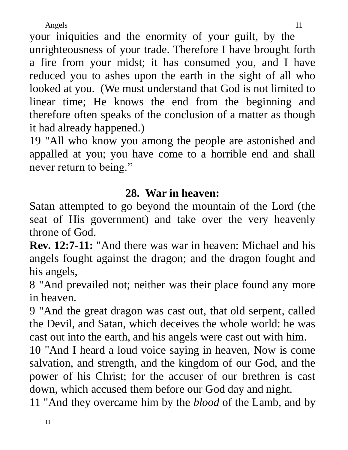your iniquities and the enormity of your guilt, by the unrighteousness of your trade. Therefore I have brought forth a fire from your midst; it has consumed you, and I have reduced you to ashes upon the earth in the sight of all who looked at you. (We must understand that God is not limited to linear time; He knows the end from the beginning and therefore often speaks of the conclusion of a matter as though it had already happened.)

19 "All who know you among the people are astonished and appalled at you; you have come to a horrible end and shall never return to being."

## **28. War in heaven:**

Satan attempted to go beyond the mountain of the Lord (the seat of His government) and take over the very heavenly throne of God.

**Rev. 12:7-11:** "And there was war in heaven: Michael and his angels fought against the dragon; and the dragon fought and his angels,

8 "And prevailed not; neither was their place found any more in heaven.

9 "And the great dragon was cast out, that old serpent, called the Devil, and Satan, which deceives the whole world: he was cast out into the earth, and his angels were cast out with him.

10 "And I heard a loud voice saying in heaven, Now is come salvation, and strength, and the kingdom of our God, and the power of his Christ; for the accuser of our brethren is cast down, which accused them before our God day and night.

11 "And they overcame him by the *blood* of the Lamb, and by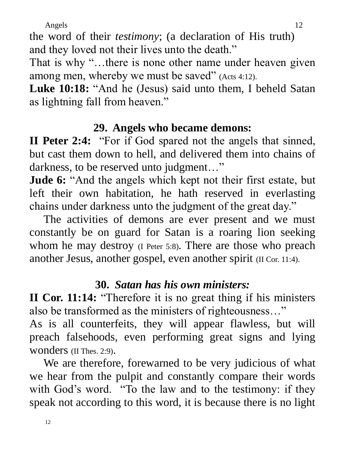the word of their *testimony*; (a declaration of His truth) and they loved not their lives unto the death."

That is why "...there is none other name under heaven given among men, whereby we must be saved" (Acts 4:12).

**Luke 10:18:** "And he (Jesus) said unto them, I beheld Satan as lightning fall from heaven."

#### **29. Angels who became demons:**

**II Peter 2:4:** "For if God spared not the angels that sinned, but cast them down to hell, and delivered them into chains of darkness, to be reserved unto judgment..."

**Jude 6:** "And the angels which kept not their first estate, but left their own habitation, he hath reserved in everlasting chains under darkness unto the judgment of the great day."

 The activities of demons are ever present and we must constantly be on guard for Satan is a roaring lion seeking whom he may destroy (I Peter 5:8). There are those who preach another Jesus, another gospel, even another spirit (II Cor. 11:4).

#### **30.** *Satan has his own ministers:*

**II Cor. 11:14:** "Therefore it is no great thing if his ministers also be transformed as the ministers of righteousness…"

As is all counterfeits, they will appear flawless, but will preach falsehoods, even performing great signs and lying wonders (II Thes. 2:9).

 We are therefore, forewarned to be very judicious of what we hear from the pulpit and constantly compare their words with God's word. "To the law and to the testimony: if they speak not according to this word, it is because there is no light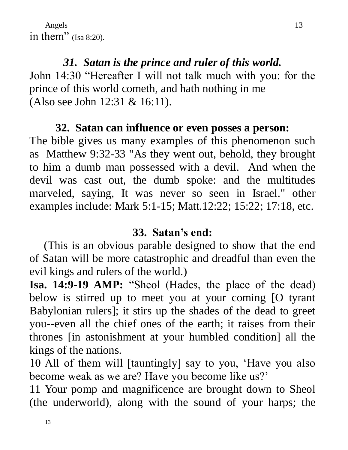Angels in them" (Isa 8:20).

## *31. Satan is the prince and ruler of this world.*

John 14:30 "Hereafter I will not talk much with you: for the prince of this world cometh, and hath nothing in me (Also see John 12:31 & 16:11).

#### **32. Satan can influence or even posses a person:**

The bible gives us many examples of this phenomenon such as Matthew 9:32-33 "As they went out, behold, they brought to him a dumb man possessed with a devil. And when the devil was cast out, the dumb spoke: and the multitudes marveled, saying, It was never so seen in Israel." other examples include: Mark 5:1-15; Matt.12:22; 15:22; 17:18, etc.

#### **33. Satan's end:**

 (This is an obvious parable designed to show that the end of Satan will be more catastrophic and dreadful than even the evil kings and rulers of the world.)

**Isa. 14:9-19 AMP:** "Sheol (Hades, the place of the dead) below is stirred up to meet you at your coming [O tyrant Babylonian rulers]; it stirs up the shades of the dead to greet you--even all the chief ones of the earth; it raises from their thrones [in astonishment at your humbled condition] all the kings of the nations.

10 All of them will [tauntingly] say to you, 'Have you also become weak as we are? Have you become like us?'

11 Your pomp and magnificence are brought down to Sheol (the underworld), along with the sound of your harps; the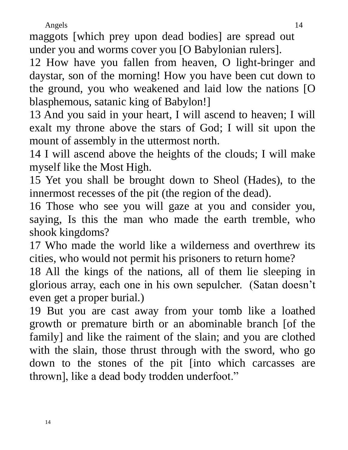maggots [which prey upon dead bodies] are spread out under you and worms cover you [O Babylonian rulers].

12 How have you fallen from heaven, O light-bringer and daystar, son of the morning! How you have been cut down to the ground, you who weakened and laid low the nations [O blasphemous, satanic king of Babylon!]

13 And you said in your heart, I will ascend to heaven; I will exalt my throne above the stars of God; I will sit upon the mount of assembly in the uttermost north.

14 I will ascend above the heights of the clouds; I will make myself like the Most High.

15 Yet you shall be brought down to Sheol (Hades), to the innermost recesses of the pit (the region of the dead).

16 Those who see you will gaze at you and consider you, saying, Is this the man who made the earth tremble, who shook kingdoms?

17 Who made the world like a wilderness and overthrew its cities, who would not permit his prisoners to return home?

18 All the kings of the nations, all of them lie sleeping in glorious array, each one in his own sepulcher. (Satan doesn't even get a proper burial.)

19 But you are cast away from your tomb like a loathed growth or premature birth or an abominable branch [of the family] and like the raiment of the slain; and you are clothed with the slain, those thrust through with the sword, who go down to the stones of the pit [into which carcasses are thrown], like a dead body trodden underfoot."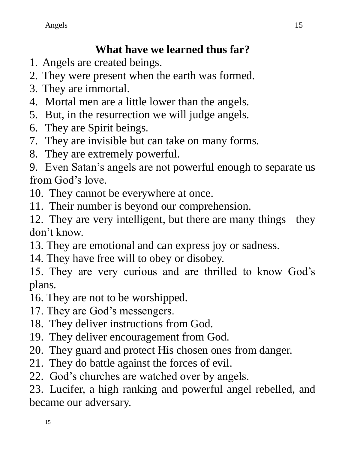# **What have we learned thus far?**

- 1. Angels are created beings.
- 2. They were present when the earth was formed.
- 3. They are immortal.
- 4. Mortal men are a little lower than the angels.
- 5. But, in the resurrection we will judge angels.
- 6. They are Spirit beings.
- 7. They are invisible but can take on many forms.
- 8. They are extremely powerful.

9. Even Satan's angels are not powerful enough to separate us from God's love.

- 10. They cannot be everywhere at once.
- 11. Their number is beyond our comprehension.

12. They are very intelligent, but there are many things they don't know.

- 13. They are emotional and can express joy or sadness.
- 14. They have free will to obey or disobey.

15. They are very curious and are thrilled to know God's plans.

- 16. They are not to be worshipped.
- 17. They are God's messengers.
- 18. They deliver instructions from God.
- 19. They deliver encouragement from God.
- 20. They guard and protect His chosen ones from danger.
- 21. They do battle against the forces of evil.
- 22. God's churches are watched over by angels.

23. Lucifer, a high ranking and powerful angel rebelled, and became our adversary.